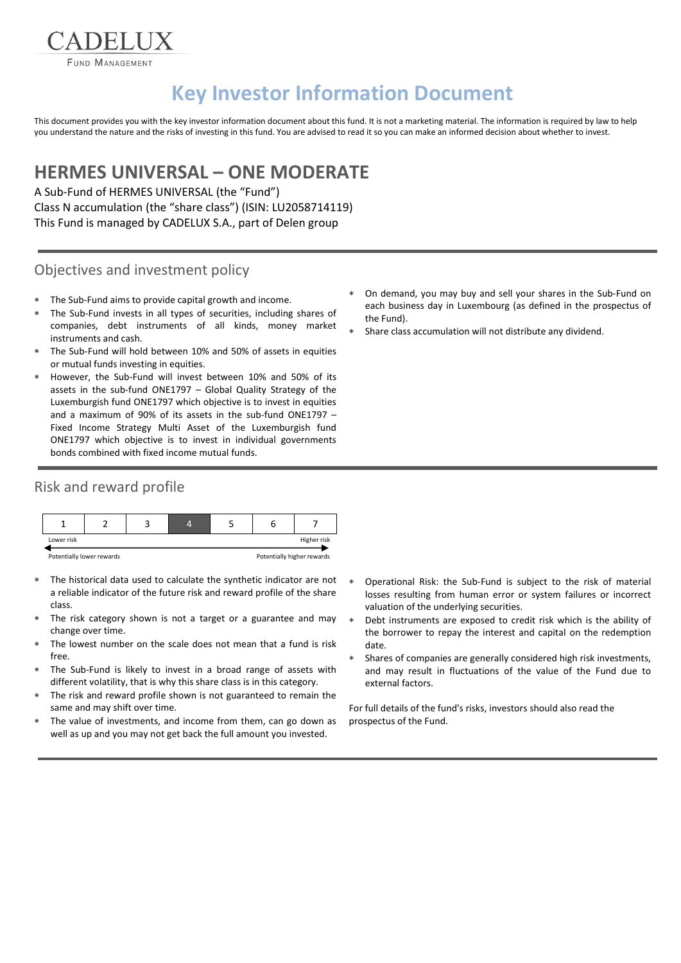FUND MANAGEMENT

DELI

# **Key Investor Information Document**

This document provides you with the key investor information document about this fund. It is not a marketing material. The information is required by law to help you understand the nature and the risks of investing in this fund. You are advised to read it so you can make an informed decision about whether to invest.

## **HERMES UNIVERSAL – ONE MODERATE**

A Sub-Fund of HERMES UNIVERSAL (the "Fund") Class N accumulation (the "share class") (ISIN: LU2058714119) This Fund is managed by CADELUX S.A., part of Delen group

#### Objectives and investment policy

- The Sub-Fund aims to provide capital growth and income.
- The Sub-Fund invests in all types of securities, including shares of companies, debt instruments of all kinds, money market instruments and cash.
- The Sub-Fund will hold between 10% and 50% of assets in equities or mutual funds investing in equities.
- However, the Sub-Fund will invest between 10% and 50% of its assets in the sub-fund ONE1797 – Global Quality Strategy of the Luxemburgish fund ONE1797 which objective is to invest in equities and a maximum of 90% of its assets in the sub-fund ONE1797 – Fixed Income Strategy Multi Asset of the Luxemburgish fund ONE1797 which objective is to invest in individual governments bonds combined with fixed income mutual funds.

## Risk and reward profile



- The historical data used to calculate the synthetic indicator are not a reliable indicator of the future risk and reward profile of the share class.
- The risk category shown is not a target or a guarantee and may change over time.
- The lowest number on the scale does not mean that a fund is risk free.
- The Sub-Fund is likely to invest in a broad range of assets with different volatility, that is why this share class is in this category.
- The risk and reward profile shown is not guaranteed to remain the same and may shift over time.
- The value of investments, and income from them, can go down as well as up and you may not get back the full amount you invested.
- On demand, you may buy and sell your shares in the Sub-Fund on each business day in Luxembourg (as defined in the prospectus of the Fund).
- Share class accumulation will not distribute any dividend.

- Operational Risk: the Sub-Fund is subject to the risk of material losses resulting from human error or system failures or incorrect valuation of the underlying securities.
- Debt instruments are exposed to credit risk which is the ability of the borrower to repay the interest and capital on the redemption date.
- Shares of companies are generally considered high risk investments, and may result in fluctuations of the value of the Fund due to external factors.

For full details of the fund's risks, investors should also read the prospectus of the Fund.